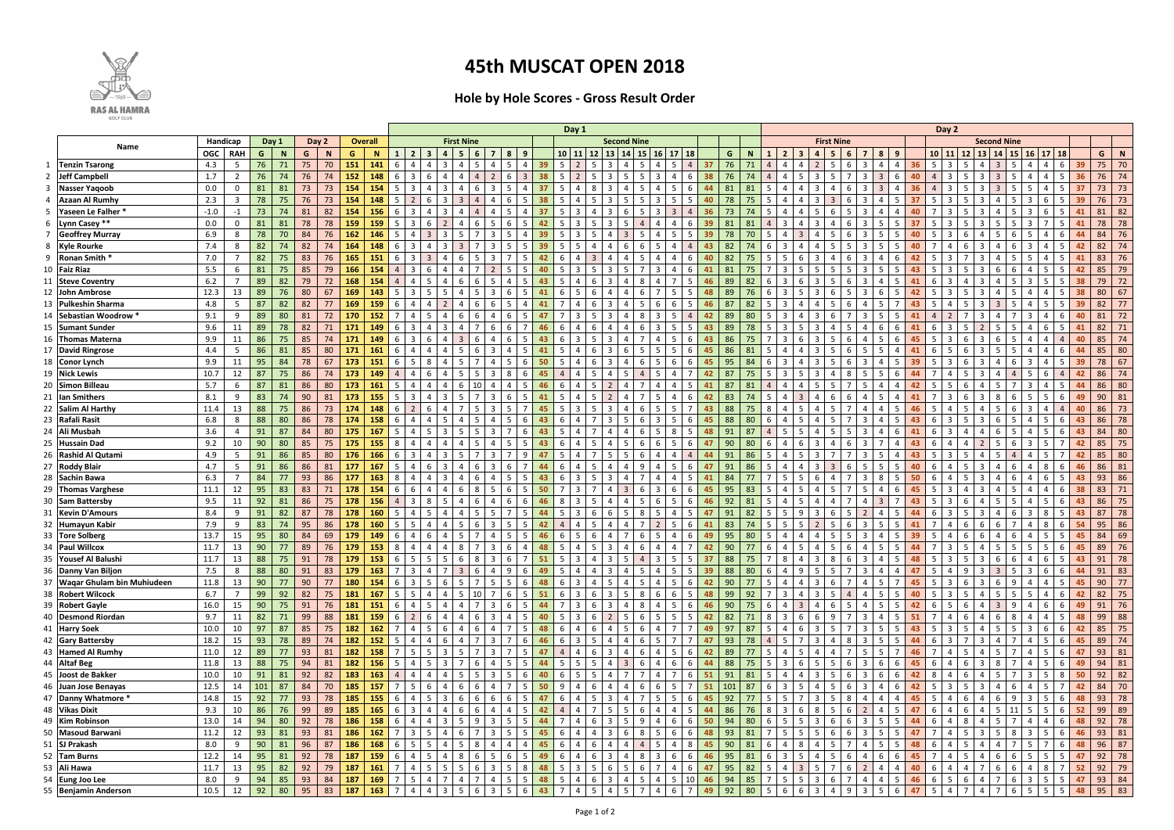|                               |          |                |       |                  |          |             |                |     |            |                         |                          | Day 1<br><b>First Nine</b><br><b>Second Nine</b> |     |     |                         |                |     |     |                |                 |                |                |          |                      |    |     |     |             |     |                |                     |                |     |   | Day 2 |     |     |                       |                         |                    |                         |     |    |             |                 |     |     |              |
|-------------------------------|----------|----------------|-------|------------------|----------|-------------|----------------|-----|------------|-------------------------|--------------------------|--------------------------------------------------|-----|-----|-------------------------|----------------|-----|-----|----------------|-----------------|----------------|----------------|----------|----------------------|----|-----|-----|-------------|-----|----------------|---------------------|----------------|-----|---|-------|-----|-----|-----------------------|-------------------------|--------------------|-------------------------|-----|----|-------------|-----------------|-----|-----|--------------|
| Name                          | Handicap |                | Day 1 | Day 2            |          |             | <b>Overall</b> |     |            |                         |                          |                                                  |     |     |                         |                |     |     |                |                 |                |                |          |                      |    |     |     |             |     |                | <b>First Nine</b>   |                |     |   |       |     |     |                       |                         | <b>Second Nine</b> |                         |     |    |             |                 |     |     |              |
|                               | OGC      | <b>RAH</b>     | G -   | N                | G        | $\mathbf N$ |                | G   | <b>N</b>   |                         | 3                        |                                                  | - 5 |     |                         | 8              | -9  |     | $10$   11      | 12 <sup>1</sup> |                | $13 \mid 14$   | 15       | $16$   17            | 18 |     | G   | $\mathbf N$ |     | $\overline{2}$ | $\mathbf{3}$<br>4   | -5             |     |   | 8     | -9  |     | $10$   11             |                         | 12                 | $13 \mid 14$            |     |    | 15 16 17 18 |                 |     | G   | N            |
| 1 Tenzin Tsarong              | 4.3      | 5              | 76    | 71               | 75       | 70          |                | 151 | 141        |                         |                          |                                                  |     |     |                         |                |     | 39  |                |                 |                |                |          |                      |    |     | 76  | 71          |     |                |                     |                |     |   |       |     | 36  | 5 <sup>5</sup><br>- 3 |                         |                    |                         |     |    |             | 6               |     | 75  | 70           |
| 2 Jeff Campbell               | 1.7      | $\overline{2}$ | 76    | 74               | 76       | 74          |                | 152 | 148        | 3                       | 6                        |                                                  |     |     |                         | 6              |     | 38  |                |                 |                |                |          |                      |    |     | 76  | 74          |     |                | ્વ                  |                |     |   |       |     |     |                       |                         |                    |                         |     |    |             | 5.              |     |     | 74           |
| 3 Nasser Yaqoob               | 0.0      | $\mathbf 0$    | 81    | -81              | 73       | 73          |                | 154 | 154        |                         |                          |                                                  |     |     |                         |                |     | 37  |                |                 |                |                |          |                      |    |     |     | 81          |     |                |                     |                |     |   |       |     |     |                       |                         |                    |                         |     |    |             |                 |     |     | 73           |
| <b>Azaan Al Rumhy</b>         | 2.3      | $\overline{3}$ | 78    | 75               | 76       | 73          |                | 154 | 148        |                         |                          |                                                  |     |     |                         |                |     |     |                |                 |                |                |          |                      |    |     | 78  | 75          |     |                |                     |                |     |   |       |     |     |                       |                         |                    |                         |     |    |             |                 |     |     | 73           |
| 5 Yaseen Le Falher *          | $-1.0$   | $-1$           | 73    | 74               | 81       | 82          |                | 154 | 156        |                         |                          |                                                  |     |     |                         |                |     |     |                |                 |                |                |          |                      |    |     |     | 74          |     |                |                     |                |     |   |       |     |     |                       |                         |                    |                         |     |    |             |                 |     |     | 82           |
| 6 Lynn Casey **               | 0.0      | $\mathbf{0}$   | 81    | 81               | 78       | 78          |                | 159 | 159        |                         |                          |                                                  |     |     |                         |                |     |     |                |                 |                |                |          |                      |    |     |     |             |     |                |                     |                |     |   |       |     |     |                       |                         |                    |                         |     |    |             |                 |     |     | 78           |
| 7 Geoffrey Murray             | 6.9      | 8              | 78    | 70               | 84       | 76          |                | 162 | 146        |                         |                          |                                                  |     |     |                         |                |     |     |                |                 |                |                |          |                      |    |     |     |             |     |                |                     |                |     |   |       |     |     |                       |                         |                    |                         |     |    |             |                 |     | 84  | 76           |
| 8 Kyle Rourke                 | 7.4      | 8              | 82    |                  | 82       | 74          |                | 164 | 148        |                         |                          |                                                  |     |     |                         |                |     |     |                |                 |                |                |          |                      |    |     |     |             |     |                |                     |                |     |   |       |     |     |                       |                         |                    |                         |     |    |             |                 |     | -82 | 71           |
| 9 Ronan Smith *               | 7.0      | $\overline{7}$ | 82    | 75               | 83       | 76          |                | 165 | 151        |                         |                          |                                                  |     |     |                         |                |     |     |                |                 |                |                |          |                      |    |     |     |             |     |                |                     |                |     |   |       |     |     |                       |                         |                    |                         |     |    |             |                 |     | 83  | -76          |
| 10   Faiz Riaz                | 5.5      | 6              | 81    | 75               | 85       | 79          |                | 166 | 154        |                         |                          |                                                  |     |     |                         |                |     |     |                |                 |                |                |          |                      |    |     |     |             |     |                |                     |                |     |   |       |     |     |                       |                         |                    |                         |     |    |             |                 |     | 85  | 79           |
| 11 Steve Coventry             | $6.2$    | $\overline{7}$ | 89    | 82               | 79       | 72          |                | 168 | 154        |                         |                          |                                                  |     |     |                         |                |     |     |                |                 |                |                |          |                      |    |     | 89  | 82          |     |                |                     |                |     |   |       |     |     |                       |                         |                    |                         |     |    |             |                 |     | 79  | 72           |
| 12 John Ambrose               | 12.3     | 13             | 89    | 76               | 80       | 67          |                | 169 | 143        |                         |                          |                                                  |     |     |                         |                |     |     |                |                 |                |                |          |                      |    |     | 89  |             |     |                |                     |                |     |   |       |     |     |                       |                         |                    |                         |     |    |             |                 |     | 80  | 67           |
| 13 Pulkeshin Sharma           | 4.8      | -5             | 87    | 82               | 82       | 77          |                | 169 | 159        |                         |                          |                                                  |     |     |                         |                |     |     |                |                 |                |                |          |                      |    |     | 87  | 82          |     |                |                     |                |     |   |       |     |     |                       |                         |                    |                         |     |    |             |                 |     | 82  | 77           |
| 14 Sebastian Woodrow *        | 9.1      | 9              | 89    | 80               | 81       | 72          |                | 170 | 152        |                         |                          |                                                  |     |     |                         | 6              |     |     |                |                 |                |                |          |                      |    |     | 89  | 80          |     |                |                     |                |     |   |       |     |     |                       |                         |                    |                         |     |    |             |                 |     | 81  | 72           |
| 15 Sumant Sunder              | 9.6      | 11             | 89    | 78               | 82       | 71          |                | 171 | 149        | 6                       | $\boldsymbol{\varDelta}$ |                                                  |     |     |                         | 6              |     | 46  |                |                 |                |                |          |                      |    | -43 | 89  | 78          |     |                |                     |                |     |   |       |     |     |                       |                         |                    |                         |     |    |             |                 |     | 82  | 71           |
| 16 Thomas Materna             | 9.9      | 11             | 86    | 75               | 85       | 74          |                | 171 | 149        | -6 I                    | -6                       |                                                  |     |     |                         | 6              |     | 43  |                |                 |                |                |          |                      | 6  | 43  | 86  | 75          |     |                |                     |                |     |   |       |     | 45  |                       |                         |                    |                         |     |    |             | $\Delta$        |     | 85  | 74           |
| 17 David Ringrose             | 4.4      | 5              | 86    | 81               | 85       | 80          |                | 171 | 161        | -6                      |                          |                                                  |     |     |                         |                |     |     |                |                 |                |                |          |                      | 6  |     | 86  | 81          |     |                |                     |                |     |   |       |     |     |                       |                         |                    |                         |     |    |             | 6               |     | 85  | 80           |
| 18 Conor Lynch                | 9.9      | 11             | 95    | 84               | 78       | 67          |                | 173 | 151        |                         | 8                        |                                                  |     |     |                         | 5              |     | 50  |                |                 |                |                |          |                      |    |     | 95  | 84          |     |                |                     |                |     |   |       |     |     |                       |                         |                    |                         |     |    |             | 5.              |     | 78  | 67           |
| 19 Nick Lewis                 | 10.7     | 12             | 87    | 75               | 86       | 74          |                | 173 | 149        |                         |                          |                                                  |     |     |                         |                |     |     |                |                 |                |                |          |                      |    |     |     |             |     |                |                     |                |     |   |       |     |     |                       |                         |                    |                         |     |    |             |                 |     | 86  | 74           |
| 20 Simon Billeau              | 5.7      | 6              | 87    | -81              | 86       | 80          |                | 173 | 161        |                         |                          |                                                  |     |     |                         |                |     |     |                |                 |                |                |          |                      |    |     |     |             |     |                |                     |                |     |   |       |     |     |                       |                         |                    |                         |     |    |             |                 |     | 86  | 80           |
|                               |          | 9              |       | 74               | 90       |             |                |     |            |                         |                          |                                                  |     |     |                         |                |     |     |                |                 |                |                |          |                      |    |     |     | 74          |     |                |                     |                |     |   |       |     |     |                       |                         |                    |                         |     |    |             | 6               |     |     |              |
| 21 Ian Smithers               | 8.1      |                | 83    |                  |          | 81          |                | 173 | 155        |                         |                          |                                                  |     |     |                         |                |     |     |                |                 |                |                |          |                      |    |     | 83  |             |     |                |                     |                |     |   |       |     |     |                       |                         |                    |                         |     |    |             |                 | 49  | 90  | 81           |
| 22 Salim Al Harthy            | 11.4     | 13             | 88    | 75               | 86       | 73          |                | 174 | 148        |                         |                          |                                                  |     |     |                         |                |     | 45. |                |                 |                |                |          |                      |    | 43  | -88 | 75          |     |                |                     |                |     |   |       |     |     |                       |                         |                    |                         |     |    |             | $\Delta$        | 40  | 86  | -73          |
| 23 Rafali Rasit               | 6.8      | 8              | 88    | 80               | 86       | 78          |                | 174 | 158        |                         |                          |                                                  |     |     |                         |                |     | 43  |                |                 |                |                |          |                      |    |     | 88  | 80          |     |                |                     |                |     |   |       |     | 43  |                       |                         |                    |                         |     |    |             | 6               | 43  | 86  | 78           |
| 24 Ali Musbah                 | 3.6      | 4              | 91    | 87               | 84       | 80          |                | 175 | 167        |                         |                          |                                                  |     |     |                         |                |     |     |                |                 |                |                |          |                      |    |     | 91  | 87          |     |                |                     |                |     |   |       |     |     |                       |                         |                    |                         |     |    |             |                 | 43  | 84  | 80           |
| 25 Hussain Dad                | 9.2      | 10             | 90    | 80               | 85       | 75          |                | 175 | 155        |                         |                          |                                                  |     |     |                         |                |     | 43  |                |                 |                |                |          |                      |    |     | 90  | 80          |     |                |                     |                |     |   |       |     |     |                       |                         |                    |                         |     |    |             |                 |     | 85  | 75           |
| 26 Rashid Al Qutami           | 4.9      | 5              | 91    | 86               | 85       | 80          |                | 176 | 166        |                         |                          |                                                  |     |     |                         |                |     | 47  |                |                 |                |                |          |                      |    |     | 91  | 86          |     |                |                     |                |     |   |       |     |     |                       |                         |                    |                         |     |    |             |                 |     | 85  | 80           |
| 27 Roddy Blair                | 4.7      | 5              | 91    | 86               | 86       | 81          |                | 177 | 167        |                         | 6                        |                                                  |     |     |                         | 6              |     | 44  |                |                 |                |                |          |                      |    |     | 91  | 86          |     |                |                     |                |     |   |       |     |     |                       |                         |                    |                         |     |    |             |                 |     | 86  | 81           |
| 28 Sachin Bawa                | 6.3      | $\overline{7}$ | 84    | 77               | 93       | 86          |                | 177 | 163        | - 8                     |                          |                                                  |     |     |                         |                |     | 43  |                |                 |                |                |          |                      |    |     | 84  | 77          |     |                |                     |                |     |   |       |     |     |                       |                         |                    |                         |     |    |             |                 |     | 93  | 86           |
| 29 Thomas Varghese            | 11.1     | 12             | 95    | 83               | 83       | 71          |                | 178 | 154        |                         |                          |                                                  |     |     |                         | 6              |     | 50  |                |                 |                |                |          |                      |    |     | 95  | 83          |     |                |                     |                |     |   |       |     |     |                       |                         |                    |                         |     |    |             |                 |     | 83  | 71           |
| 30 Sam Battersby              | 9.5      | 11             | 92    | 81               | 86       | 75          |                | 178 | 156        |                         |                          |                                                  |     |     |                         |                |     |     |                |                 |                |                |          |                      |    |     |     |             |     |                |                     |                |     |   |       |     |     |                       |                         |                    |                         |     |    |             |                 |     | 86  | 75           |
| 31<br><b>Kevin D'Amours</b>   | 8.4      | 9              | 91    | 82               | 87       | 78          |                | 178 | 160        |                         |                          |                                                  |     |     |                         |                |     |     |                |                 |                |                |          |                      |    |     |     |             |     |                |                     |                |     |   |       |     |     |                       |                         |                    |                         |     |    |             |                 |     |     | 78           |
| 32 Humayun Kabir              | 7.9      | 9              | 83    |                  | 95       | 86          |                | 178 | 160        |                         |                          |                                                  |     |     |                         |                |     |     |                |                 |                |                |          |                      |    |     |     |             |     |                |                     |                |     |   |       |     |     |                       |                         |                    |                         |     |    |             |                 |     | 95  | 86           |
| 33 Tore Solberg               | 13.7     | 15             | 95    | -80              | 84       | 69          |                | 179 | 149        |                         |                          |                                                  |     |     |                         |                |     |     |                |                 |                |                |          |                      |    |     |     |             |     |                |                     |                |     |   |       |     |     |                       |                         |                    |                         |     |    |             |                 |     | 84  | 69           |
| 34 Paul Willcox               | 11.7     | 13             | 90    |                  | 89       | -76         |                | 179 | 153        |                         |                          |                                                  |     |     |                         |                |     |     |                |                 |                |                |          |                      |    |     |     |             |     |                |                     |                |     |   |       |     |     |                       |                         |                    |                         |     |    |             |                 |     | 89  | -76          |
| 35 Yousef Al Balushi          | 11.7     | 13             | 88    | 75               | 91       | 78          |                | 179 | 153        | 6 I<br>.5.              | 5.                       |                                                  |     |     | 3.                      | 6              |     | 51  | 3              |                 |                | -5             | $\Delta$ |                      |    | -37 | 88  | 75          |     |                |                     |                |     |   |       |     | 48  |                       |                         |                    |                         |     |    |             | 5.              | -43 | 91  | 78           |
| 36 Danny Van Biljon           | 7.5      | 8              | 88    | 80               | 91       | 83          |                | 179 | <b>163</b> |                         |                          |                                                  |     |     | 4                       | 9              | -6  | 49  | -5<br>4        |                 |                | 4              |          |                      |    | -39 | 88  | 80          |     |                | -9<br>-5.           |                |     |   |       |     |     |                       |                         |                    |                         |     |    |             | 6               | 44  | 91  | 83           |
| 37 Waqar Ghulam bin Muhiudeen | 11.8     | 13             | 90    | 77               | 90       | 77          |                | 180 | 154        | 3                       | 5                        |                                                  |     |     |                         | 5              | -6  | 48  |                |                 |                | 4              | -5       |                      |    | 42  | 90  | 77          |     |                | -3                  |                |     |   | -5    |     | 45  | -3                    |                         |                    |                         |     |    |             | 5               | 45  | 90  | 77           |
| 38 Robert Wilcock             | 6.7      | $\overline{7}$ | 99    | 92               | 82       | 75          |                | 181 | 167        | 5<br>- 5 I              | 4                        |                                                  | - 5 |     |                         | 6              | - 5 | 51  | -3<br>-6       |                 |                | 5 <sup>5</sup> | - 8      |                      | -5 | 48  | 99  | 92          |     |                | -3                  |                |     |   | 5     | -5  | 40  | - 5<br>- 3            |                         | 4                  | - 5                     | - 5 |    | 4           | 6               | 42  | 82  | 75           |
| 39 Robert Gayle               | 16.0     | 15             | 90    | 75               | 91       | 76          |                | 181 | 151        | 4                       | 5                        |                                                  |     |     |                         | 6              |     | 44  |                |                 |                | 4              |          |                      |    |     | 90  | 75          |     |                |                     |                |     |   |       |     | 42  |                       |                         |                    | $\overline{\mathbf{3}}$ | -9  |    |             | 6               | 49  | 91  | 76           |
| 40 Desmond Riordan            | 9.7      | 11             | 82    | 71               | 99       | 88          |                | 181 | 159        |                         | 6                        |                                                  |     |     | 3                       | 4              | -5  | 40  | -3             |                 |                | 5              | - 6      |                      | -5 | -42 | 82  | 71          |     |                | -6<br>- 6           | g              |     |   |       |     | 51  |                       |                         |                    | -6                      |     |    |             | .5              | 48  | 99  | 88           |
| 41 Harry Soek                 | 10.0     | 10             | 97    | 87               | 85       | 75          |                | 182 | 162        | - 7 I<br>4              | 5 <sup>5</sup>           |                                                  |     |     | 4                       |                | -5  | 48  | -4<br>-6       |                 |                | 5              | -6       |                      |    | -49 | 97  | 87          |     |                | -3<br>6             |                |     |   | -5    | -5  | 43  | -5                    | $\overline{\mathbf{3}}$ | 4                  | -5                      | -5  |    | 6           | 6               | 42  | 85  | 75           |
| 42 Gary Battersby             | 18.2     | 15             | 93    | 78               | 89       | 74          |                | 182 | 152        | 5<br>4                  | 4                        |                                                  |     |     |                         |                |     | 46  | -3<br>-6       |                 | 4              | 4              |          |                      |    | 47  | 93  | 78          |     | 5.             |                     |                |     |   | .5    | -5  | 44  | -6                    | 3                       |                    |                         |     |    |             | 6               | 45  | 89  | 74           |
| 43 Hamed Al Rumhy             | 11.0     | 12             | 89    | 77               | 93       | 81          |                | 182 | 158        | -5                      | 5.                       |                                                  |     |     |                         |                |     |     |                |                 |                | 4              | -6       |                      | 6  | 42  | 89  | 77          |     |                |                     |                |     |   | .5    |     | 46  |                       |                         |                    |                         |     |    |             | 6               | 47  | 93  | 81           |
| 44 Altaf Beg                  | 11.8     | 13             | 88    | 75               | 94       | 81          |                | 182 | 156        | 5<br>4                  | 5                        |                                                  |     |     |                         |                |     | 44  |                |                 |                | 3              | - 6      |                      | 6  |     | 88  | 75          |     |                |                     |                |     |   | 6     | -6  | 45  |                       |                         |                    |                         |     |    |             | 6               | 49  | 94  | 81           |
| 45 Joost de Bakker            | 10.0     | 10             | 91    | 81               | 92       | 82          |                | 183 | 163        |                         |                          |                                                  |     |     |                         | 5.             |     | 40  | -5             |                 |                |                |          |                      |    |     | 91  | 81          |     |                |                     |                |     |   | 6     | -6  | 42  | -8                    |                         |                    |                         |     |    |             | 8               | 50  | 92  | 82           |
|                               |          |                |       |                  |          |             |                |     |            | <sup>7</sup><br>- 5     |                          |                                                  |     |     |                         |                |     | 50  | ٩              |                 |                |                |          |                      |    |     |     |             |     |                |                     |                |     |   |       |     | 42  | -5                    |                         |                    |                         |     |    |             | $7^{\circ}$     | 42  |     | 70           |
| 46 Juan Jose Benayas          | 12.5     | 14             | 101   | $\vert$ 87<br>77 | 84<br>93 | 70          |                | 185 | 157        |                         | 6                        |                                                  |     |     |                         |                |     |     | -4<br>4        |                 |                | 4              |          |                      |    |     | 101 | 87          |     |                |                     |                |     |   | Δ     |     |     |                       |                         |                    |                         |     |    |             |                 |     | 84  | $93 \mid 78$ |
| 47 Danny Whatmore *           | 14.8     | 15             | 92    |                  |          | 78          |                | 185 | 155        | -6 I<br>4               | 5                        | -3                                               |     |     | 6.                      | 6              | -5  | 47  | -6             |                 |                | 4              |          |                      | 6  | 45. | 92  | 77          |     |                |                     |                |     |   |       |     | 45  | -5                    |                         |                    |                         |     |    |             | 6               | 48  |     |              |
| 48 Vikas Dixit                | 9.3      | 10             | 86    | 76               | 99       | 89          |                | 185 | 165        | 6 3                     | 4                        |                                                  |     |     | 4                       | 4              | -5  | 42  | 4              |                 | 5.             | 5              |          |                      | 5  | 44  | 86  | 76          |     |                | -8<br>-6            |                |     |   | 4     | -5  | 47  |                       |                         |                    | -5                      |     |    |             | 6               | -52 | 99  | 89           |
| 49 Kim Robinson               | 13.0     | 14             | 94    | 80               | 92       | 78          |                | 186 | 158        | - 6 I<br>4              | 4                        | -3                                               | - 5 | 91  | -3                      | 5              | -5  | 44  | 4              |                 | 3              | 5 <sup>5</sup> | -9       |                      | 6  | 50  | 94  | -80         |     | 5.             | .5.<br>-3           | -6             |     | 3 | 5     | - 5 | 44  | -6                    | 4 I                     | - 8                | -5                      |     |    | 4           | 6               | 48  | 92  | 78           |
| 50 Masoud Barwani             | 11.2     | 12             | 93    | 81               | 93       | 81          |                | 186 | 162        | $\overline{\mathbf{3}}$ | 5                        |                                                  |     |     | $\overline{\mathbf{3}}$ | 5              | -5  | 45  | -6<br>4        |                 | 3              | 6              | - 8      | -5                   | 6  | 48  | 93  | 81          |     | 5              | 5<br>- 5            | -6             | - 6 | 3 | 5     | - 5 | 47  |                       |                         | 3<br>-5            | - 5                     | - 8 | -3 | -5.         | 6               | 46  | 93  | 81           |
| 51 SJ Prakash                 | 8.0      | 9              | 90    | 81               | 96       | 87          |                | 186 | 168        | 6   5                   | 5                        |                                                  | - 5 | 8   | 4                       | 4              |     | 45  | -6             |                 |                | 4              | 4        |                      | 8  | 45  | 90  | 81          |     | 4              | 8                   |                |     |   | 5     | - 5 | 48  | -6                    |                         |                    |                         |     |    |             | 6               | 48  | 96  | 87           |
| 52 Tam Burns                  | 12.2     | 14             | 95    | 81               | 92       | 78          |                | 187 | 159        | - 6 I<br>-4             | 5                        |                                                  |     |     | - 5                     | 6              | -5  | 49  | -6<br>4        |                 | 3              | 4              | -8       |                      | -6 |     | 95  | 81          |     | 3              |                     |                |     |   | 6     | -6  | 45. |                       |                         |                    |                         |     |    |             | 5               | 47  | 92  | 78           |
| 53 Ali Hawa                   | 11.7     | 13             | 95    | 82               | 92       | 79          |                | 187 | 161        | 4                       | 5                        |                                                  | - 5 |     | $\overline{\mathbf{3}}$ | 5              | -8  | 48  | -3<br>-5       |                 | 6              | 5              | - 6      |                      | 6  | 47  | 95  | 82          |     | 4              | 3<br>-5             |                |     |   | 4     | 4   | 40  | -6                    | -4                      |                    |                         |     |    | -8          | $\overline{7}$  | 52  | 92  | 79           |
| 54 Eung Joo Lee               | 8.0      | 9              | 94    | 85               | 93       | 84          |                | 187 | 169        | 75                      | $\overline{4}$           |                                                  | -4  | 7 I | 4                       | 5              | - 5 | 48  | -5<br>4        |                 | 3 <sup>1</sup> | 4              | 5        | -4<br>$\overline{5}$ | 10 | 46  | 94  | 85          | - 7 | 5              | 5<br>$\overline{3}$ | -6             | - 7 | 4 | 4     | - 5 | 46  | $\cdot$ 6 $\cdot$     | $\sqrt{5}$              | 4<br>6             |                         | -6  |    | 3 5 1       | 5 <sup>5</sup>  | 47  | 93  | 84           |
| 55 Benjamin Anderson          | 10.5     | 12             | 92    | 80               | 95       | 83          |                | 187 | 163        | 4                       | $\overline{4}$           | $\overline{\mathbf{3}}$                          | 5   | 6 I | 3                       | 5 <sub>1</sub> | -6  | 43  | $\overline{4}$ | 5               | 4              | 5 <sub>5</sub> |          | $\overline{4}$       |    | 49  | 92  | 80          | - 5 | 6              | $\overline{3}$<br>6 | $\overline{4}$ | 9   | 3 | 5     | - 6 | 47  | -5                    | 4                       | $\overline{a}$     |                         |     | 5  | - 5         | $5\overline{)}$ | 48  |     | $95 \mid 83$ |



## **45th MUSCAT OPEN 2018**

**Hole by Hole Scores - Gross Result Order**